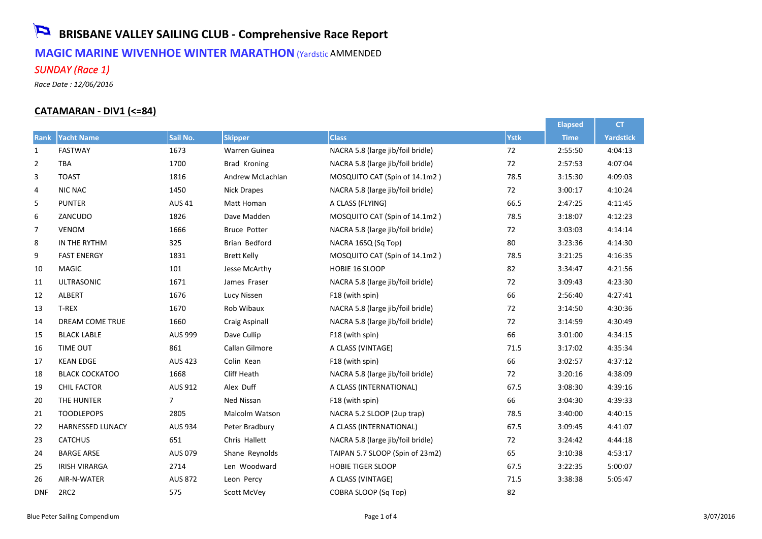# **BRISBANE VALLEY SAILING CLUB - Comprehensive Race Report MAGIC MARINE WIVENHOE WINTER MARATHON** (Yardstic AMMENDED *SUNDAY (Race 1)*

*Race Date : 12/06/2016*

#### **CATAMARAN - DIV1 (<=84)**

|                |                         |                |                       |                                   |             | <b>Elapsed</b> | <b>CT</b>        |
|----------------|-------------------------|----------------|-----------------------|-----------------------------------|-------------|----------------|------------------|
| Rank           | <b>Yacht Name</b>       | Sail No.       | <b>Skipper</b>        | <b>Class</b>                      | <b>Ystk</b> | <b>Time</b>    | <b>Yardstick</b> |
| $\mathbf{1}$   | <b>FASTWAY</b>          | 1673           | Warren Guinea         | NACRA 5.8 (large jib/foil bridle) | 72          | 2:55:50        | 4:04:13          |
| $\overline{2}$ | <b>TBA</b>              | 1700           | Brad Kroning          | NACRA 5.8 (large jib/foil bridle) | 72          | 2:57:53        | 4:07:04          |
| 3              | <b>TOAST</b>            | 1816           | Andrew McLachlan      | MOSQUITO CAT (Spin of 14.1m2)     | 78.5        | 3:15:30        | 4:09:03          |
| 4              | <b>NIC NAC</b>          | 1450           | <b>Nick Drapes</b>    | NACRA 5.8 (large jib/foil bridle) | 72          | 3:00:17        | 4:10:24          |
| 5              | <b>PUNTER</b>           | <b>AUS 41</b>  | Matt Homan            | A CLASS (FLYING)                  | 66.5        | 2:47:25        | 4:11:45          |
| 6              | ZANCUDO                 | 1826           | Dave Madden           | MOSQUITO CAT (Spin of 14.1m2)     | 78.5        | 3:18:07        | 4:12:23          |
| 7              | <b>VENOM</b>            | 1666           | <b>Bruce Potter</b>   | NACRA 5.8 (large jib/foil bridle) | 72          | 3:03:03        | 4:14:14          |
| 8              | IN THE RYTHM            | 325            | Brian Bedford         | NACRA 16SQ (Sq Top)               | 80          | 3:23:36        | 4:14:30          |
| 9              | <b>FAST ENERGY</b>      | 1831           | <b>Brett Kelly</b>    | MOSQUITO CAT (Spin of 14.1m2)     | 78.5        | 3:21:25        | 4:16:35          |
| 10             | <b>MAGIC</b>            | 101            | Jesse McArthy         | HOBIE 16 SLOOP                    | 82          | 3:34:47        | 4:21:56          |
| 11             | <b>ULTRASONIC</b>       | 1671           | James Fraser          | NACRA 5.8 (large jib/foil bridle) | 72          | 3:09:43        | 4:23:30          |
| 12             | ALBERT                  | 1676           | Lucy Nissen           | F18 (with spin)                   | 66          | 2:56:40        | 4:27:41          |
| 13             | T-REX                   | 1670           | Rob Wibaux            | NACRA 5.8 (large jib/foil bridle) | 72          | 3:14:50        | 4:30:36          |
| 14             | DREAM COME TRUE         | 1660           | <b>Craig Aspinall</b> | NACRA 5.8 (large jib/foil bridle) | 72          | 3:14:59        | 4:30:49          |
| 15             | <b>BLACK LABLE</b>      | <b>AUS 999</b> | Dave Cullip           | F18 (with spin)                   | 66          | 3:01:00        | 4:34:15          |
| 16             | TIME OUT                | 861            | Callan Gilmore        | A CLASS (VINTAGE)                 | 71.5        | 3:17:02        | 4:35:34          |
| 17             | <b>KEAN EDGE</b>        | <b>AUS 423</b> | Colin Kean            | F18 (with spin)                   | 66          | 3:02:57        | 4:37:12          |
| 18             | <b>BLACK COCKATOO</b>   | 1668           | Cliff Heath           | NACRA 5.8 (large jib/foil bridle) | 72          | 3:20:16        | 4:38:09          |
| 19             | <b>CHIL FACTOR</b>      | AUS 912        | Alex Duff             | A CLASS (INTERNATIONAL)           | 67.5        | 3:08:30        | 4:39:16          |
| 20             | THE HUNTER              | $\overline{7}$ | Ned Nissan            | F18 (with spin)                   | 66          | 3:04:30        | 4:39:33          |
| 21             | <b>TOODLEPOPS</b>       | 2805           | <b>Malcolm Watson</b> | NACRA 5.2 SLOOP (2up trap)        | 78.5        | 3:40:00        | 4:40:15          |
| 22             | <b>HARNESSED LUNACY</b> | <b>AUS 934</b> | Peter Bradbury        | A CLASS (INTERNATIONAL)           | 67.5        | 3:09:45        | 4:41:07          |
| 23             | <b>CATCHUS</b>          | 651            | Chris Hallett         | NACRA 5.8 (large jib/foil bridle) | 72          | 3:24:42        | 4:44:18          |
| 24             | <b>BARGE ARSE</b>       | AUS 079        | Shane Reynolds        | TAIPAN 5.7 SLOOP (Spin of 23m2)   | 65          | 3:10:38        | 4:53:17          |
| 25             | <b>IRISH VIRARGA</b>    | 2714           | Len Woodward          | <b>HOBIE TIGER SLOOP</b>          | 67.5        | 3:22:35        | 5:00:07          |
| 26             | AIR-N-WATER             | <b>AUS 872</b> | Leon Percy            | A CLASS (VINTAGE)                 | 71.5        | 3:38:38        | 5:05:47          |
| <b>DNF</b>     | 2RC <sub>2</sub>        | 575            | Scott McVey           | COBRA SLOOP (Sq Top)              | 82          |                |                  |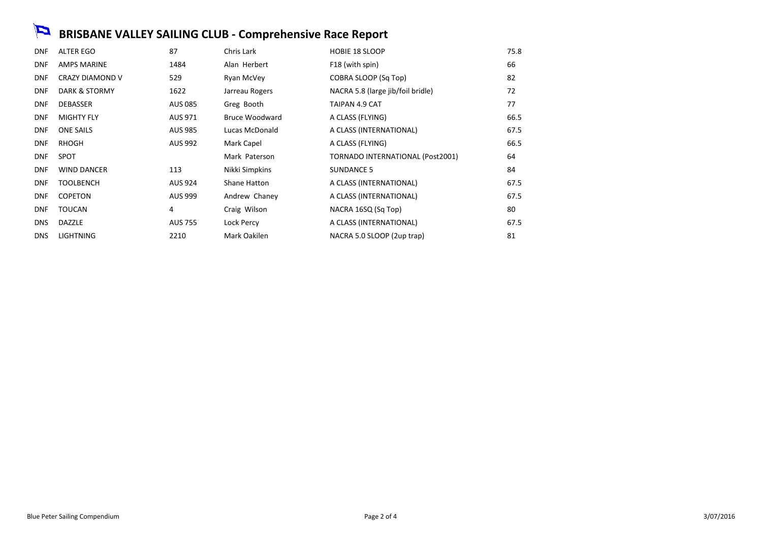# **BRISBANE VALLEY SAILING CLUB - Comprehensive Race Report**

| <b>DNF</b> | ALTER EGO              | 87             | Chris Lark     | <b>HOBIE 18 SLOOP</b>             | 75.8 |
|------------|------------------------|----------------|----------------|-----------------------------------|------|
| <b>DNF</b> | <b>AMPS MARINE</b>     | 1484           | Alan Herbert   | F18 (with spin)                   | 66   |
| <b>DNF</b> | <b>CRAZY DIAMOND V</b> | 529            | Ryan McVey     | COBRA SLOOP (Sq Top)              | 82   |
| <b>DNF</b> | DARK & STORMY          | 1622           | Jarreau Rogers | NACRA 5.8 (large jib/foil bridle) | 72   |
| <b>DNF</b> | <b>DEBASSER</b>        | <b>AUS 085</b> | Greg Booth     | TAIPAN 4.9 CAT                    | 77   |
| <b>DNF</b> | <b>MIGHTY FLY</b>      | AUS 971        | Bruce Woodward | A CLASS (FLYING)                  | 66.5 |
| <b>DNF</b> | <b>ONE SAILS</b>       | <b>AUS 985</b> | Lucas McDonald | A CLASS (INTERNATIONAL)           | 67.5 |
| <b>DNF</b> | RHOGH                  | AUS 992        | Mark Capel     | A CLASS (FLYING)                  | 66.5 |
| <b>DNF</b> | <b>SPOT</b>            |                | Mark Paterson  | TORNADO INTERNATIONAL (Post2001)  | 64   |
| <b>DNF</b> | <b>WIND DANCER</b>     | 113            | Nikki Simpkins | <b>SUNDANCE 5</b>                 | 84   |
| <b>DNF</b> | <b>TOOLBENCH</b>       | AUS 924        | Shane Hatton   | A CLASS (INTERNATIONAL)           | 67.5 |
| <b>DNF</b> | <b>COPETON</b>         | <b>AUS 999</b> | Andrew Chaney  | A CLASS (INTERNATIONAL)           | 67.5 |
| <b>DNF</b> | <b>TOUCAN</b>          | 4              | Craig Wilson   | NACRA 16SQ (Sq Top)               | 80   |
| <b>DNS</b> | DAZZLE                 | <b>AUS 755</b> | Lock Percy     | A CLASS (INTERNATIONAL)           | 67.5 |
| <b>DNS</b> | <b>LIGHTNING</b>       | 2210           | Mark Oakilen   | NACRA 5.0 SLOOP (2up trap)        | 81   |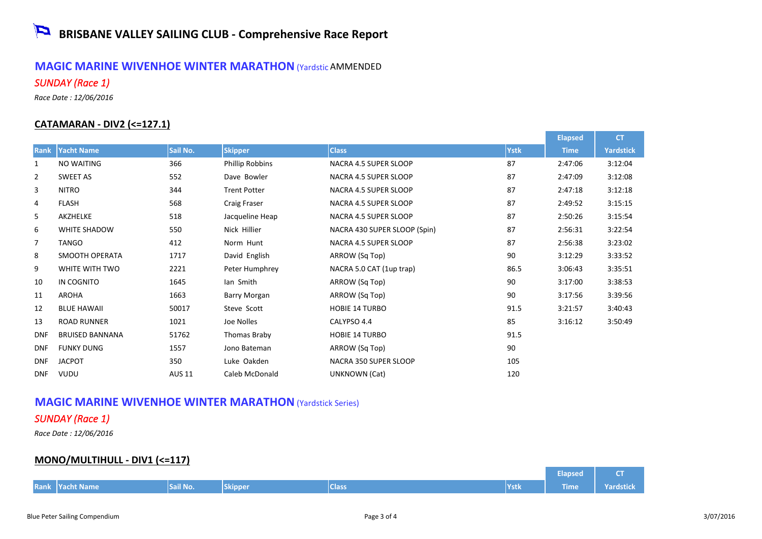### **MAGIC MARINE WIVENHOE WINTER MARATHON** (Yardstic AMMENDED *SUNDAY (Race 1)*

*Race Date : 12/06/2016*

#### **CATAMARAN - DIV2 (<=127.1)**

|                |                        |               |                        |                              |             | <b>Elapsed</b> | <b>CT</b>        |
|----------------|------------------------|---------------|------------------------|------------------------------|-------------|----------------|------------------|
| Rank           | <b>Yacht Name</b>      | Sail No.      | <b>Skipper</b>         | <b>Class</b>                 | <b>Ystk</b> | <b>Time</b>    | <b>Yardstick</b> |
| 1              | NO WAITING             | 366           | <b>Phillip Robbins</b> | NACRA 4.5 SUPER SLOOP        | 87          | 2:47:06        | 3:12:04          |
| $\overline{2}$ | <b>SWEET AS</b>        | 552           | Dave Bowler            | NACRA 4.5 SUPER SLOOP        | 87          | 2:47:09        | 3:12:08          |
| 3              | <b>NITRO</b>           | 344           | <b>Trent Potter</b>    | NACRA 4.5 SUPER SLOOP        | 87          | 2:47:18        | 3:12:18          |
| 4              | <b>FLASH</b>           | 568           | Craig Fraser           | NACRA 4.5 SUPER SLOOP        | 87          | 2:49:52        | 3:15:15          |
| 5              | AKZHELKE               | 518           | Jacqueline Heap        | NACRA 4.5 SUPER SLOOP        | 87          | 2:50:26        | 3:15:54          |
| 6              | WHITE SHADOW           | 550           | Nick Hillier           | NACRA 430 SUPER SLOOP (Spin) | 87          | 2:56:31        | 3:22:54          |
| 7              | <b>TANGO</b>           | 412           | Norm Hunt              | NACRA 4.5 SUPER SLOOP        | 87          | 2:56:38        | 3:23:02          |
| 8              | SMOOTH OPERATA         | 1717          | David English          | ARROW (Sq Top)               | 90          | 3:12:29        | 3:33:52          |
| 9              | WHITE WITH TWO         | 2221          | Peter Humphrey         | NACRA 5.0 CAT (1up trap)     | 86.5        | 3:06:43        | 3:35:51          |
| 10             | IN COGNITO             | 1645          | lan Smith              | ARROW (Sq Top)               | 90          | 3:17:00        | 3:38:53          |
| 11             | <b>AROHA</b>           | 1663          | Barry Morgan           | ARROW (Sq Top)               | 90          | 3:17:56        | 3:39:56          |
| 12             | <b>BLUE HAWAII</b>     | 50017         | Steve Scott            | <b>HOBIE 14 TURBO</b>        | 91.5        | 3:21:57        | 3:40:43          |
| 13             | <b>ROAD RUNNER</b>     | 1021          | Joe Nolles             | CALYPSO 4.4                  | 85          | 3:16:12        | 3:50:49          |
| <b>DNF</b>     | <b>BRUISED BANNANA</b> | 51762         | Thomas Braby           | <b>HOBIE 14 TURBO</b>        | 91.5        |                |                  |
| <b>DNF</b>     | <b>FUNKY DUNG</b>      | 1557          | Jono Bateman           | ARROW (Sq Top)               | 90          |                |                  |
| <b>DNF</b>     | <b>JACPOT</b>          | 350           | Luke Oakden            | NACRA 350 SUPER SLOOP        | 105         |                |                  |
| <b>DNF</b>     | <b>VUDU</b>            | <b>AUS 11</b> | Caleb McDonald         | UNKNOWN (Cat)                | 120         |                |                  |

## **MAGIC MARINE WIVENHOE WINTER MARATHON** (Yardstick Series)

### *SUNDAY (Race 1)*

*Race Date : 12/06/2016*

#### **MONO/MULTIHULL - DIV1 (<=117)**

|  |                        |          |         |              | Elapsed       | $-$  |                  |
|--|------------------------|----------|---------|--------------|---------------|------|------------------|
|  | <b>Rank Yacht Name</b> | Sail No. | Skipper | <b>Class</b> | <b>NYstik</b> | Time | <b>Yardstick</b> |

and the con-